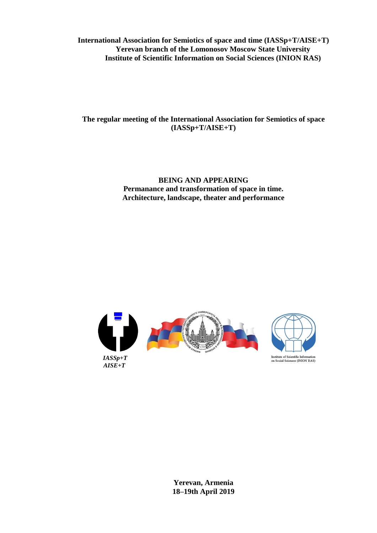**International Association for Semiotics of space and time (IASSp+T/AISE+T) Yerevan branch of the Lomonosov Moscow State University Institute of Scientific Information on Social Sciences (INION RAS)**

**The regular meeting of the International Association for Semiotics of space (IASSp+T/AISE+T)** 

> **BEING AND APPEARING Permanance and transformation of space in time. Architecture, landscape, theater and performance**



**Yerevan, Armenia 18–19th April 2019**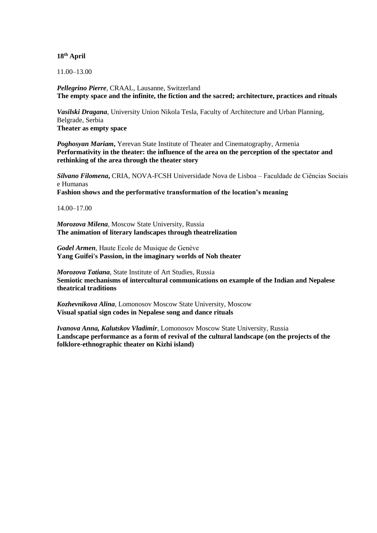## **18th April**

11.00–13.00

*Pellegrino Pierre*, CRAAL, Lausanne, Switzerland **The empty space and the infinite, the fiction and the sacred; architecture, practices and rituals**

*Vasilski Dragana*, University Union Nikola Tesla, Faculty of Architecture and Urban Planning, Belgrade, Serbia **Theater as empty space**

*Poghosyan Mariam***,** Yerevan State Institute of Theater and Cinematography, Armenia **Performativity in the theater: the influence of the area on the perception of the spectator and rethinking of the area through the theater story**

*Silvano Filomena***,** CRIA, NOVA-FCSH Universidade Nova de Lisboa – Faculdade de Ciências Sociais e Humanas

**Fashion shows and the performative transformation of the location's meaning**

14.00–17.00

*Morozova Milena*, Moscow State University, Russia **The animation of literary landscapes through theatrelization**

*Godel Armen,* Haute Ecole de Musique de Genève **Yang Guifei's Passion, in the imaginary worlds of Noh theater**

*Morozova Tatiana*, State Institute of Art Studies, Russia **Semiotic mechanisms of intercultural communications on example of the Indian and Nepalese theatrical traditions**

*Kozhevnikova Alina*, Lomonosov Moscow State University, Moscow **Visual spatial sign codes in Nepalese song and dance rituals**

*Ivanova Anna, Kalutskov Vladimir,* Lomonosov Moscow State University, Russia **Landscape performance as a form of revival of the cultural landscape (on the projects of the folklore-ethnographic theater on Kizhi island)**